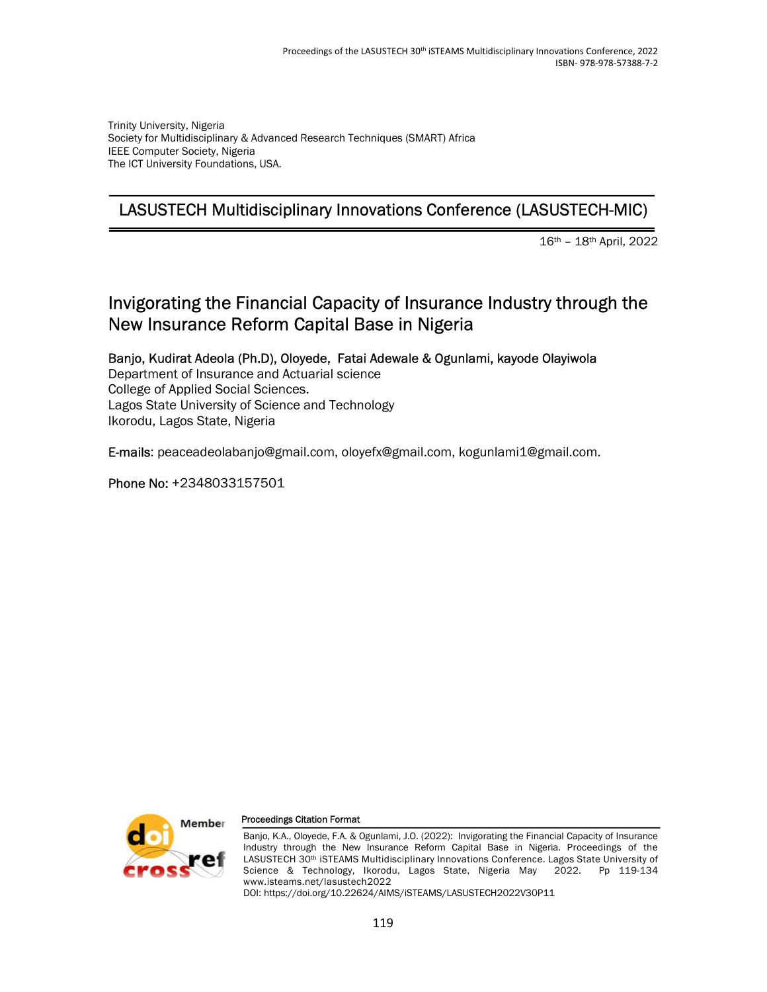Trinity University, Nigeria Society for Multidisciplinary & Advanced Research Techniques (SMART) Africa IEEE Computer Society, Nigeria The ICT University Foundations, USA.

# LASUSTECH Multidisciplinary Innovations Conference (LASUSTECH-MIC)

16th – 18th April, 2022

# Invigorating the Financial Capacity of Insurance Industry through the New Insurance Reform Capital Base in Nigeria

Banjo, Kudirat Adeola (Ph.D), Oloyede, Fatai Adewale & Ogunlami, kayode Olayiwola Department of Insurance and Actuarial science College of Applied Social Sciences. Lagos State University of Science and Technology Ikorodu, Lagos State, Nigeria

E-mails: peaceadeolabanjo@gmail.com, oloyefx@gmail.com, kogunlami1@gmail.com.

Phone No: +2348033157501



#### Proceedings Citation Format

Banjo, K.A., Oloyede, F.A. & Ogunlami, J.O. (2022): Invigorating the Financial Capacity of Insurance Industry through the New Insurance Reform Capital Base in Nigeria. Proceedings of the LASUSTECH 30<sup>th</sup> iSTEAMS Multidisciplinary Innovations Conference. Lagos State University of Science & Technology, Ikorodu, Lagos State, Nigeria May 2022. Pp 119-134 www.isteams.net/lasustech2022 DOI: https://doi.org/10.22624/AIMS/iSTEAMS/LASUSTECH2022V30P11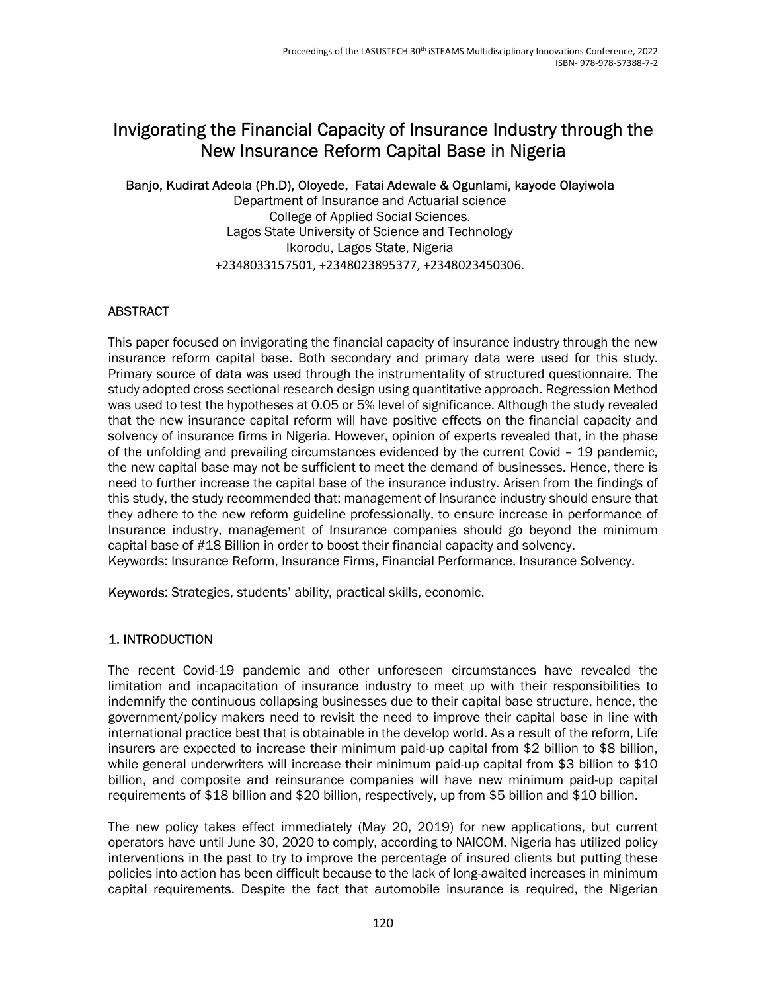# Invigorating the Financial Capacity of Insurance Industry through the New Insurance Reform Capital Base in Nigeria

### Banjo, Kudirat Adeola (Ph.D), Oloyede, Fatai Adewale & Ogunlami, kayode Olayiwola

Department of Insurance and Actuarial science College of Applied Social Sciences. Lagos State University of Science and Technology Ikorodu, Lagos State, Nigeria +2348033157501, +2348023895377, +2348023450306.

# ABSTRACT

This paper focused on invigorating the financial capacity of insurance industry through the new insurance reform capital base. Both secondary and primary data were used for this study. Primary source of data was used through the instrumentality of structured questionnaire. The study adopted cross sectional research design using quantitative approach. Regression Method was used to test the hypotheses at 0.05 or 5% level of significance. Although the study revealed that the new insurance capital reform will have positive effects on the financial capacity and solvency of insurance firms in Nigeria. However, opinion of experts revealed that, in the phase of the unfolding and prevailing circumstances evidenced by the current Covid – 19 pandemic, the new capital base may not be sufficient to meet the demand of businesses. Hence, there is need to further increase the capital base of the insurance industry. Arisen from the findings of this study, the study recommended that: management of Insurance industry should ensure that they adhere to the new reform guideline professionally, to ensure increase in performance of Insurance industry, management of Insurance companies should go beyond the minimum capital base of #18 Billion in order to boost their financial capacity and solvency. Keywords: Insurance Reform, Insurance Firms, Financial Performance, Insurance Solvency.

Keywords: Strategies, students' ability, practical skills, economic.

# 1. INTRODUCTION

The recent Covid-19 pandemic and other unforeseen circumstances have revealed the limitation and incapacitation of insurance industry to meet up with their responsibilities to indemnify the continuous collapsing businesses due to their capital base structure, hence, the government/policy makers need to revisit the need to improve their capital base in line with international practice best that is obtainable in the develop world. As a result of the reform, Life insurers are expected to increase their minimum paid-up capital from \$2 billion to \$8 billion, while general underwriters will increase their minimum paid-up capital from \$3 billion to \$10 billion, and composite and reinsurance companies will have new minimum paid-up capital requirements of \$18 billion and \$20 billion, respectively, up from \$5 billion and \$10 billion.

The new policy takes effect immediately (May 20, 2019) for new applications, but current operators have until June 30, 2020 to comply, according to NAICOM. Nigeria has utilized policy interventions in the past to try to improve the percentage of insured clients but putting these policies into action has been difficult because to the lack of long-awaited increases in minimum capital requirements. Despite the fact that automobile insurance is required, the Nigerian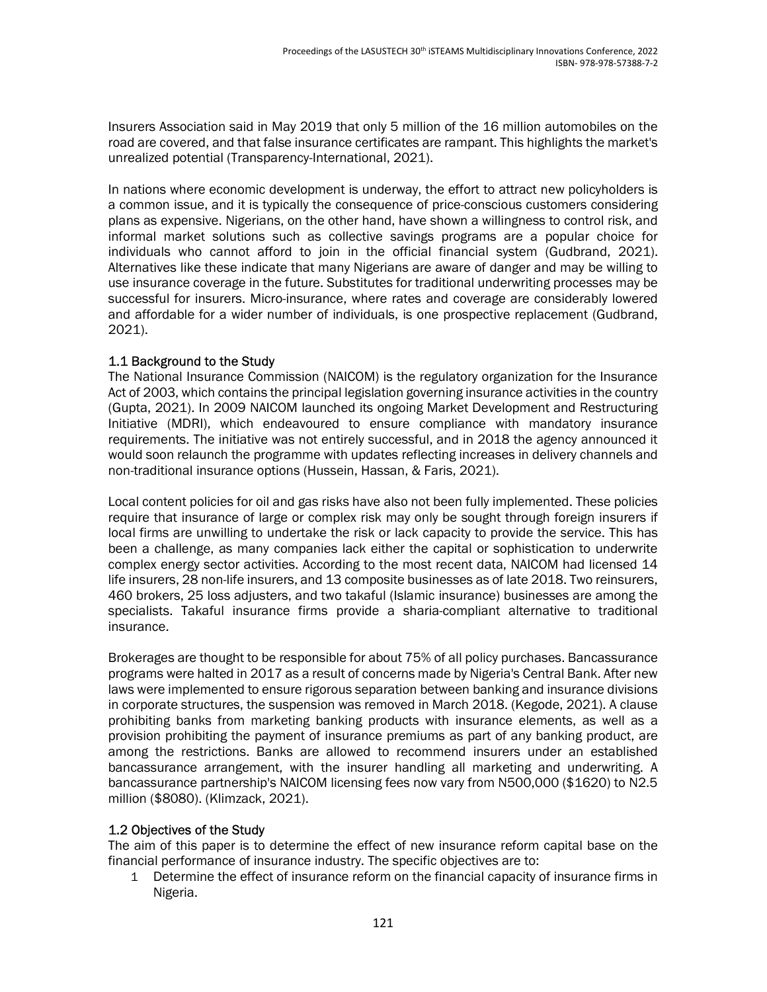Insurers Association said in May 2019 that only 5 million of the 16 million automobiles on the road are covered, and that false insurance certificates are rampant. This highlights the market's unrealized potential (Transparency-International, 2021).

In nations where economic development is underway, the effort to attract new policyholders is a common issue, and it is typically the consequence of price-conscious customers considering plans as expensive. Nigerians, on the other hand, have shown a willingness to control risk, and informal market solutions such as collective savings programs are a popular choice for individuals who cannot afford to join in the official financial system (Gudbrand, 2021). Alternatives like these indicate that many Nigerians are aware of danger and may be willing to use insurance coverage in the future. Substitutes for traditional underwriting processes may be successful for insurers. Micro-insurance, where rates and coverage are considerably lowered and affordable for a wider number of individuals, is one prospective replacement (Gudbrand, 2021).

# 1.1 Background to the Study

The National Insurance Commission (NAICOM) is the regulatory organization for the Insurance Act of 2003, which contains the principal legislation governing insurance activities in the country (Gupta, 2021). In 2009 NAICOM launched its ongoing Market Development and Restructuring Initiative (MDRI), which endeavoured to ensure compliance with mandatory insurance requirements. The initiative was not entirely successful, and in 2018 the agency announced it would soon relaunch the programme with updates reflecting increases in delivery channels and non-traditional insurance options (Hussein, Hassan, & Faris, 2021).

Local content policies for oil and gas risks have also not been fully implemented. These policies require that insurance of large or complex risk may only be sought through foreign insurers if local firms are unwilling to undertake the risk or lack capacity to provide the service. This has been a challenge, as many companies lack either the capital or sophistication to underwrite complex energy sector activities. According to the most recent data, NAICOM had licensed 14 life insurers, 28 non-life insurers, and 13 composite businesses as of late 2018. Two reinsurers, 460 brokers, 25 loss adjusters, and two takaful (Islamic insurance) businesses are among the specialists. Takaful insurance firms provide a sharia-compliant alternative to traditional insurance.

Brokerages are thought to be responsible for about 75% of all policy purchases. Bancassurance programs were halted in 2017 as a result of concerns made by Nigeria's Central Bank. After new laws were implemented to ensure rigorous separation between banking and insurance divisions in corporate structures, the suspension was removed in March 2018. (Kegode, 2021). A clause prohibiting banks from marketing banking products with insurance elements, as well as a provision prohibiting the payment of insurance premiums as part of any banking product, are among the restrictions. Banks are allowed to recommend insurers under an established bancassurance arrangement, with the insurer handling all marketing and underwriting. A bancassurance partnership's NAICOM licensing fees now vary from N500,000 (\$1620) to N2.5 million (\$8080). (Klimzack, 2021).

# 1.2 Objectives of the Study

The aim of this paper is to determine the effect of new insurance reform capital base on the financial performance of insurance industry. The specific objectives are to:

1 Determine the effect of insurance reform on the financial capacity of insurance firms in Nigeria.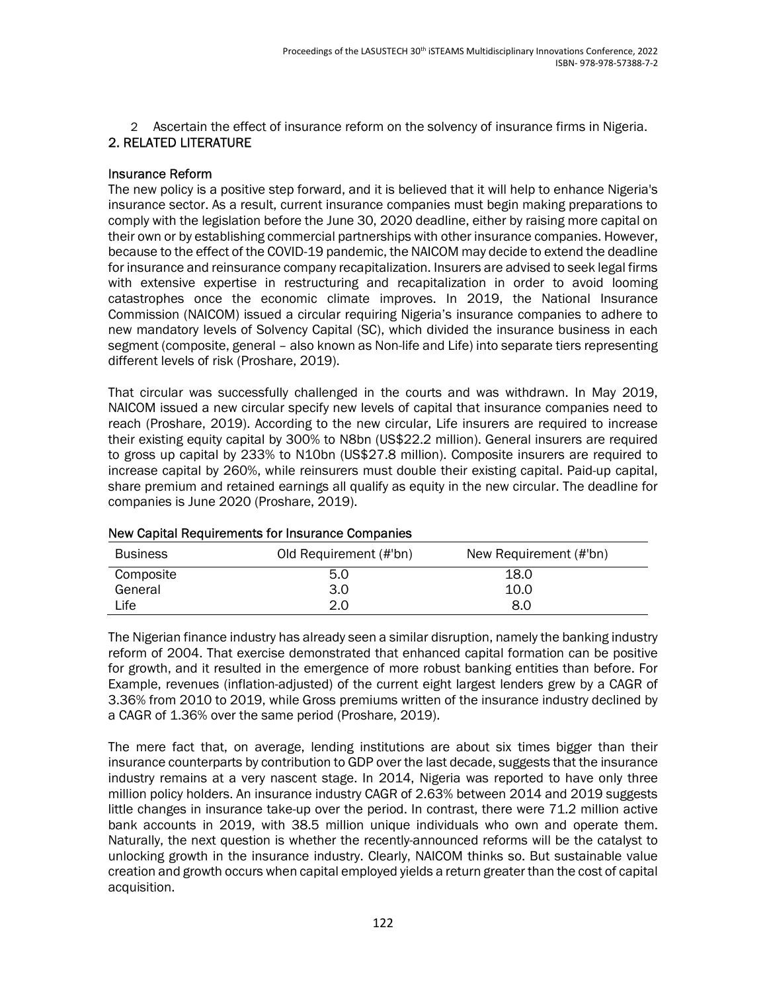2 Ascertain the effect of insurance reform on the solvency of insurance firms in Nigeria. 2. RELATED LITERATURE

#### Insurance Reform

The new policy is a positive step forward, and it is believed that it will help to enhance Nigeria's insurance sector. As a result, current insurance companies must begin making preparations to comply with the legislation before the June 30, 2020 deadline, either by raising more capital on their own or by establishing commercial partnerships with other insurance companies. However, because to the effect of the COVID-19 pandemic, the NAICOM may decide to extend the deadline for insurance and reinsurance company recapitalization. Insurers are advised to seek legal firms with extensive expertise in restructuring and recapitalization in order to avoid looming catastrophes once the economic climate improves. In 2019, the National Insurance Commission (NAICOM) issued a circular requiring Nigeria's insurance companies to adhere to new mandatory levels of Solvency Capital (SC), which divided the insurance business in each segment (composite, general – also known as Non-life and Life) into separate tiers representing different levels of risk (Proshare, 2019).

That circular was successfully challenged in the courts and was withdrawn. In May 2019, NAICOM issued a new circular specify new levels of capital that insurance companies need to reach (Proshare, 2019). According to the new circular, Life insurers are required to increase their existing equity capital by 300% to N8bn (US\$22.2 million). General insurers are required to gross up capital by 233% to N10bn (US\$27.8 million). Composite insurers are required to increase capital by 260%, while reinsurers must double their existing capital. Paid-up capital, share premium and retained earnings all qualify as equity in the new circular. The deadline for companies is June 2020 (Proshare, 2019).

| <b>Business</b> | Old Requirement (#'bn) | New Requirement (#'bn) |  |  |  |  |  |  |
|-----------------|------------------------|------------------------|--|--|--|--|--|--|
| Composite       | 5.0                    | 18.0                   |  |  |  |  |  |  |
| General         | 3.0                    | 10.0                   |  |  |  |  |  |  |
| Life            | 2.0                    | 8.0                    |  |  |  |  |  |  |

#### New Capital Requirements for Insurance Companies

The Nigerian finance industry has already seen a similar disruption, namely the banking industry reform of 2004. That exercise demonstrated that enhanced capital formation can be positive for growth, and it resulted in the emergence of more robust banking entities than before. For Example, revenues (inflation-adjusted) of the current eight largest lenders grew by a CAGR of 3.36% from 2010 to 2019, while Gross premiums written of the insurance industry declined by a CAGR of 1.36% over the same period (Proshare, 2019).

The mere fact that, on average, lending institutions are about six times bigger than their insurance counterparts by contribution to GDP over the last decade, suggests that the insurance industry remains at a very nascent stage. In 2014, Nigeria was reported to have only three million policy holders. An insurance industry CAGR of 2.63% between 2014 and 2019 suggests little changes in insurance take-up over the period. In contrast, there were 71.2 million active bank accounts in 2019, with 38.5 million unique individuals who own and operate them. Naturally, the next question is whether the recently-announced reforms will be the catalyst to unlocking growth in the insurance industry. Clearly, NAICOM thinks so. But sustainable value creation and growth occurs when capital employed yields a return greater than the cost of capital acquisition.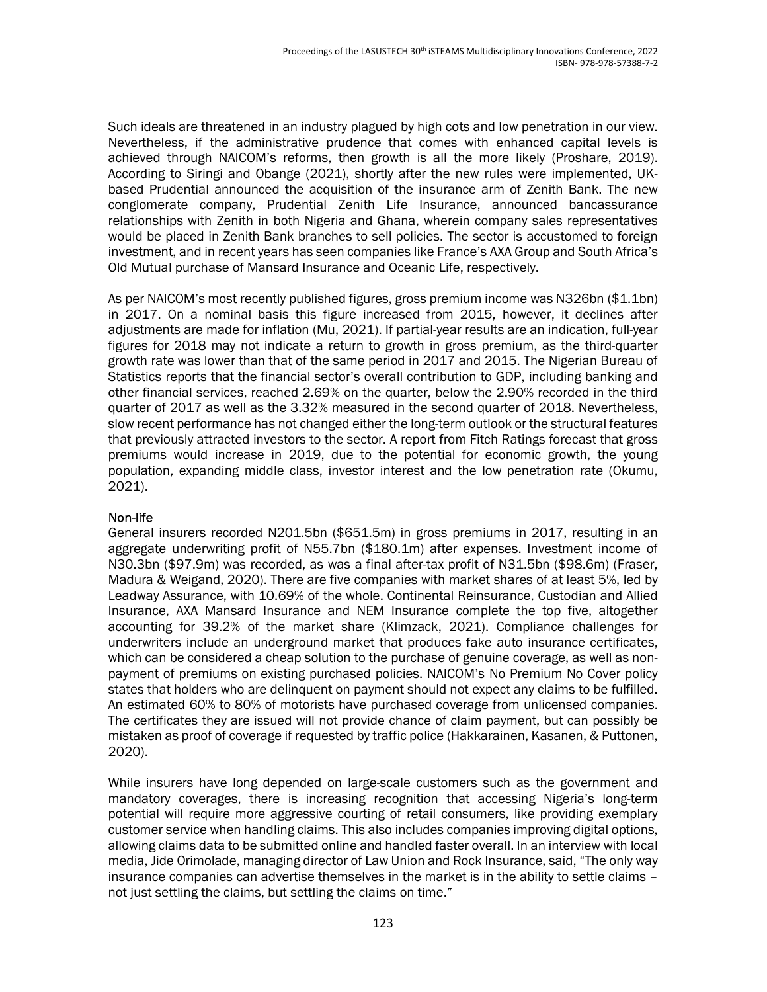Such ideals are threatened in an industry plagued by high cots and low penetration in our view. Nevertheless, if the administrative prudence that comes with enhanced capital levels is achieved through NAICOM's reforms, then growth is all the more likely (Proshare, 2019). According to Siringi and Obange (2021), shortly after the new rules were implemented, UKbased Prudential announced the acquisition of the insurance arm of Zenith Bank. The new conglomerate company, Prudential Zenith Life Insurance, announced bancassurance relationships with Zenith in both Nigeria and Ghana, wherein company sales representatives would be placed in Zenith Bank branches to sell policies. The sector is accustomed to foreign investment, and in recent years has seen companies like France's AXA Group and South Africa's Old Mutual purchase of Mansard Insurance and Oceanic Life, respectively.

As per NAICOM's most recently published figures, gross premium income was N326bn (\$1.1bn) in 2017. On a nominal basis this figure increased from 2015, however, it declines after adjustments are made for inflation (Mu, 2021). If partial-year results are an indication, full-year figures for 2018 may not indicate a return to growth in gross premium, as the third-quarter growth rate was lower than that of the same period in 2017 and 2015. The Nigerian Bureau of Statistics reports that the financial sector's overall contribution to GDP, including banking and other financial services, reached 2.69% on the quarter, below the 2.90% recorded in the third quarter of 2017 as well as the 3.32% measured in the second quarter of 2018. Nevertheless, slow recent performance has not changed either the long-term outlook or the structural features that previously attracted investors to the sector. A report from Fitch Ratings forecast that gross premiums would increase in 2019, due to the potential for economic growth, the young population, expanding middle class, investor interest and the low penetration rate (Okumu, 2021).

### Non-life

General insurers recorded N201.5bn (\$651.5m) in gross premiums in 2017, resulting in an aggregate underwriting profit of N55.7bn (\$180.1m) after expenses. Investment income of N30.3bn (\$97.9m) was recorded, as was a final after-tax profit of N31.5bn (\$98.6m) (Fraser, Madura & Weigand, 2020). There are five companies with market shares of at least 5%, led by Leadway Assurance, with 10.69% of the whole. Continental Reinsurance, Custodian and Allied Insurance, AXA Mansard Insurance and NEM Insurance complete the top five, altogether accounting for 39.2% of the market share (Klimzack, 2021). Compliance challenges for underwriters include an underground market that produces fake auto insurance certificates, which can be considered a cheap solution to the purchase of genuine coverage, as well as nonpayment of premiums on existing purchased policies. NAICOM's No Premium No Cover policy states that holders who are delinquent on payment should not expect any claims to be fulfilled. An estimated 60% to 80% of motorists have purchased coverage from unlicensed companies. The certificates they are issued will not provide chance of claim payment, but can possibly be mistaken as proof of coverage if requested by traffic police (Hakkarainen, Kasanen, & Puttonen, 2020).

While insurers have long depended on large-scale customers such as the government and mandatory coverages, there is increasing recognition that accessing Nigeria's long-term potential will require more aggressive courting of retail consumers, like providing exemplary customer service when handling claims. This also includes companies improving digital options, allowing claims data to be submitted online and handled faster overall. In an interview with local media, Jide Orimolade, managing director of Law Union and Rock Insurance, said, "The only way insurance companies can advertise themselves in the market is in the ability to settle claims – not just settling the claims, but settling the claims on time."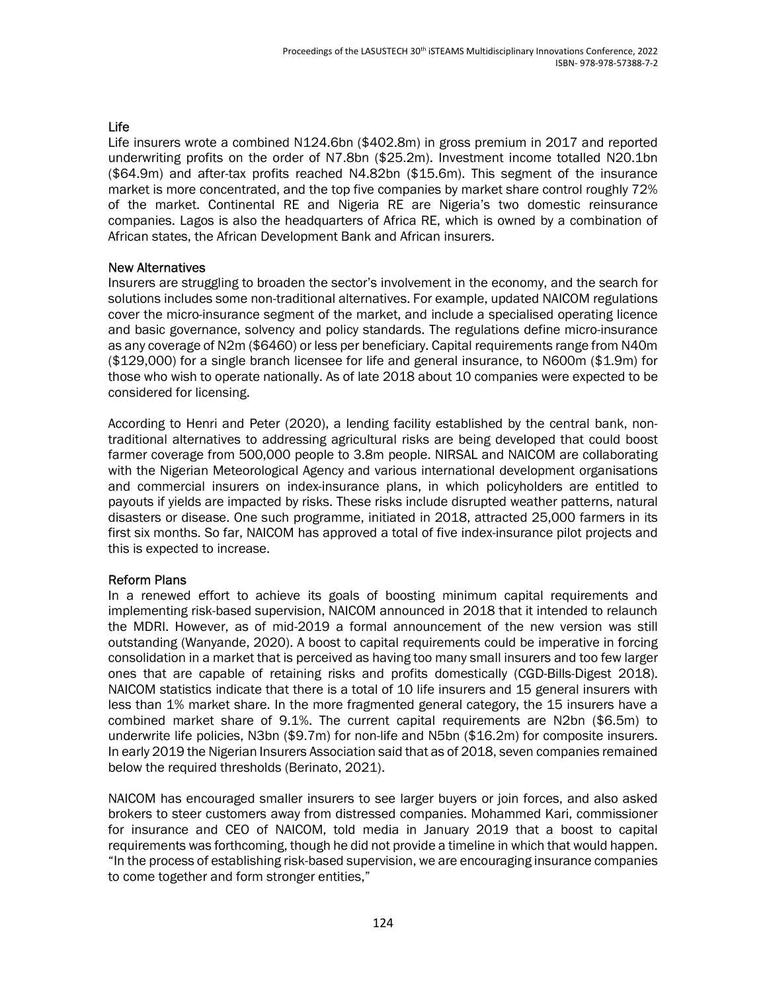# Life

Life insurers wrote a combined N124.6bn (\$402.8m) in gross premium in 2017 and reported underwriting profits on the order of N7.8bn (\$25.2m). Investment income totalled N20.1bn (\$64.9m) and after-tax profits reached N4.82bn (\$15.6m). This segment of the insurance market is more concentrated, and the top five companies by market share control roughly 72% of the market. Continental RE and Nigeria RE are Nigeria's two domestic reinsurance companies. Lagos is also the headquarters of Africa RE, which is owned by a combination of African states, the African Development Bank and African insurers.

### New Alternatives

Insurers are struggling to broaden the sector's involvement in the economy, and the search for solutions includes some non-traditional alternatives. For example, updated NAICOM regulations cover the micro-insurance segment of the market, and include a specialised operating licence and basic governance, solvency and policy standards. The regulations define micro-insurance as any coverage of N2m (\$6460) or less per beneficiary. Capital requirements range from N40m (\$129,000) for a single branch licensee for life and general insurance, to N600m (\$1.9m) for those who wish to operate nationally. As of late 2018 about 10 companies were expected to be considered for licensing.

According to Henri and Peter (2020), a lending facility established by the central bank, nontraditional alternatives to addressing agricultural risks are being developed that could boost farmer coverage from 500,000 people to 3.8m people. NIRSAL and NAICOM are collaborating with the Nigerian Meteorological Agency and various international development organisations and commercial insurers on index-insurance plans, in which policyholders are entitled to payouts if yields are impacted by risks. These risks include disrupted weather patterns, natural disasters or disease. One such programme, initiated in 2018, attracted 25,000 farmers in its first six months. So far, NAICOM has approved a total of five index-insurance pilot projects and this is expected to increase.

### Reform Plans

In a renewed effort to achieve its goals of boosting minimum capital requirements and implementing risk-based supervision, NAICOM announced in 2018 that it intended to relaunch the MDRI. However, as of mid-2019 a formal announcement of the new version was still outstanding (Wanyande, 2020). A boost to capital requirements could be imperative in forcing consolidation in a market that is perceived as having too many small insurers and too few larger ones that are capable of retaining risks and profits domestically (CGD-Bills-Digest 2018). NAICOM statistics indicate that there is a total of 10 life insurers and 15 general insurers with less than 1% market share. In the more fragmented general category, the 15 insurers have a combined market share of 9.1%. The current capital requirements are N2bn (\$6.5m) to underwrite life policies, N3bn (\$9.7m) for non-life and N5bn (\$16.2m) for composite insurers. In early 2019 the Nigerian Insurers Association said that as of 2018, seven companies remained below the required thresholds (Berinato, 2021).

NAICOM has encouraged smaller insurers to see larger buyers or join forces, and also asked brokers to steer customers away from distressed companies. Mohammed Kari, commissioner for insurance and CEO of NAICOM, told media in January 2019 that a boost to capital requirements was forthcoming, though he did not provide a timeline in which that would happen. "In the process of establishing risk-based supervision, we are encouraging insurance companies to come together and form stronger entities,"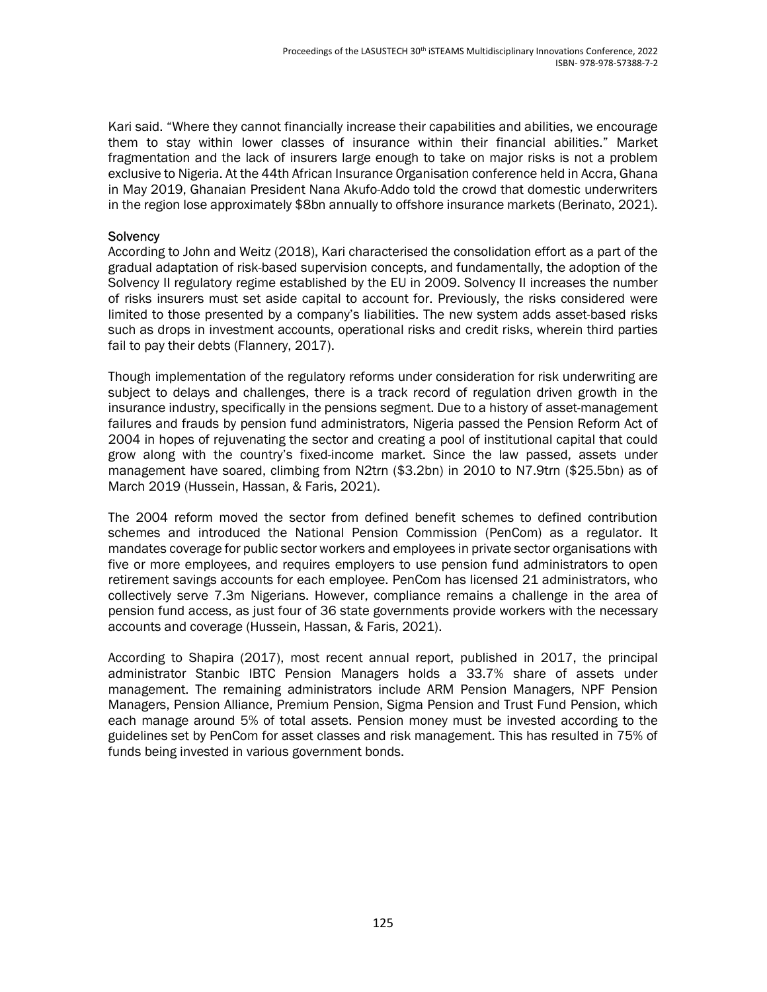Kari said. "Where they cannot financially increase their capabilities and abilities, we encourage them to stay within lower classes of insurance within their financial abilities." Market fragmentation and the lack of insurers large enough to take on major risks is not a problem exclusive to Nigeria. At the 44th African Insurance Organisation conference held in Accra, Ghana in May 2019, Ghanaian President Nana Akufo-Addo told the crowd that domestic underwriters in the region lose approximately \$8bn annually to offshore insurance markets (Berinato, 2021).

### **Solvency**

According to John and Weitz (2018), Kari characterised the consolidation effort as a part of the gradual adaptation of risk-based supervision concepts, and fundamentally, the adoption of the Solvency II regulatory regime established by the EU in 2009. Solvency II increases the number of risks insurers must set aside capital to account for. Previously, the risks considered were limited to those presented by a company's liabilities. The new system adds asset-based risks such as drops in investment accounts, operational risks and credit risks, wherein third parties fail to pay their debts (Flannery, 2017).

Though implementation of the regulatory reforms under consideration for risk underwriting are subject to delays and challenges, there is a track record of regulation driven growth in the insurance industry, specifically in the pensions segment. Due to a history of asset-management failures and frauds by pension fund administrators, Nigeria passed the Pension Reform Act of 2004 in hopes of rejuvenating the sector and creating a pool of institutional capital that could grow along with the country's fixed-income market. Since the law passed, assets under management have soared, climbing from N2trn (\$3.2bn) in 2010 to N7.9trn (\$25.5bn) as of March 2019 (Hussein, Hassan, & Faris, 2021).

The 2004 reform moved the sector from defined benefit schemes to defined contribution schemes and introduced the National Pension Commission (PenCom) as a regulator. It mandates coverage for public sector workers and employees in private sector organisations with five or more employees, and requires employers to use pension fund administrators to open retirement savings accounts for each employee. PenCom has licensed 21 administrators, who collectively serve 7.3m Nigerians. However, compliance remains a challenge in the area of pension fund access, as just four of 36 state governments provide workers with the necessary accounts and coverage (Hussein, Hassan, & Faris, 2021).

According to Shapira (2017), most recent annual report, published in 2017, the principal administrator Stanbic IBTC Pension Managers holds a 33.7% share of assets under management. The remaining administrators include ARM Pension Managers, NPF Pension Managers, Pension Alliance, Premium Pension, Sigma Pension and Trust Fund Pension, which each manage around 5% of total assets. Pension money must be invested according to the guidelines set by PenCom for asset classes and risk management. This has resulted in 75% of funds being invested in various government bonds.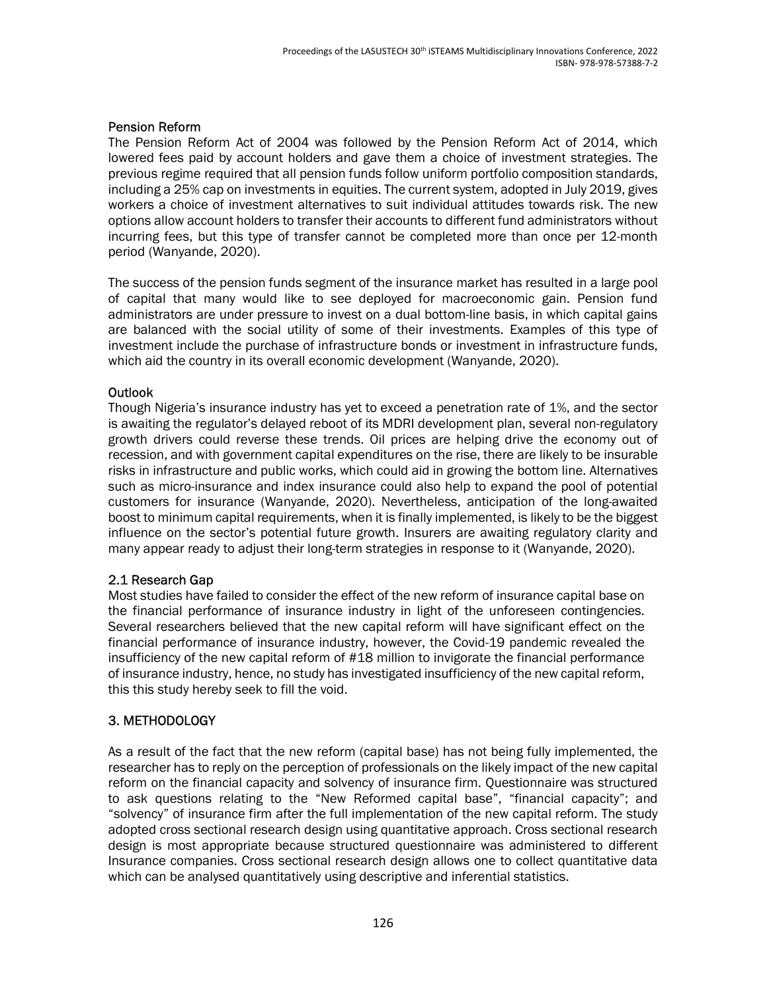### Pension Reform

The Pension Reform Act of 2004 was followed by the Pension Reform Act of 2014, which lowered fees paid by account holders and gave them a choice of investment strategies. The previous regime required that all pension funds follow uniform portfolio composition standards, including a 25% cap on investments in equities. The current system, adopted in July 2019, gives workers a choice of investment alternatives to suit individual attitudes towards risk. The new options allow account holders to transfer their accounts to different fund administrators without incurring fees, but this type of transfer cannot be completed more than once per 12-month period (Wanyande, 2020).

The success of the pension funds segment of the insurance market has resulted in a large pool of capital that many would like to see deployed for macroeconomic gain. Pension fund administrators are under pressure to invest on a dual bottom-line basis, in which capital gains are balanced with the social utility of some of their investments. Examples of this type of investment include the purchase of infrastructure bonds or investment in infrastructure funds, which aid the country in its overall economic development (Wanyande, 2020).

# **Outlook**

Though Nigeria's insurance industry has yet to exceed a penetration rate of 1%, and the sector is awaiting the regulator's delayed reboot of its MDRI development plan, several non-regulatory growth drivers could reverse these trends. Oil prices are helping drive the economy out of recession, and with government capital expenditures on the rise, there are likely to be insurable risks in infrastructure and public works, which could aid in growing the bottom line. Alternatives such as micro-insurance and index insurance could also help to expand the pool of potential customers for insurance (Wanyande, 2020). Nevertheless, anticipation of the long-awaited boost to minimum capital requirements, when it is finally implemented, is likely to be the biggest influence on the sector's potential future growth. Insurers are awaiting regulatory clarity and many appear ready to adjust their long-term strategies in response to it (Wanyande, 2020).

# 2.1 Research Gap

Most studies have failed to consider the effect of the new reform of insurance capital base on the financial performance of insurance industry in light of the unforeseen contingencies. Several researchers believed that the new capital reform will have significant effect on the financial performance of insurance industry, however, the Covid-19 pandemic revealed the insufficiency of the new capital reform of #18 million to invigorate the financial performance of insurance industry, hence, no study has investigated insufficiency of the new capital reform, this this study hereby seek to fill the void.

# 3. METHODOLOGY

As a result of the fact that the new reform (capital base) has not being fully implemented, the researcher has to reply on the perception of professionals on the likely impact of the new capital reform on the financial capacity and solvency of insurance firm. Questionnaire was structured to ask questions relating to the "New Reformed capital base", "financial capacity"; and "solvency" of insurance firm after the full implementation of the new capital reform. The study adopted cross sectional research design using quantitative approach. Cross sectional research design is most appropriate because structured questionnaire was administered to different Insurance companies. Cross sectional research design allows one to collect quantitative data which can be analysed quantitatively using descriptive and inferential statistics.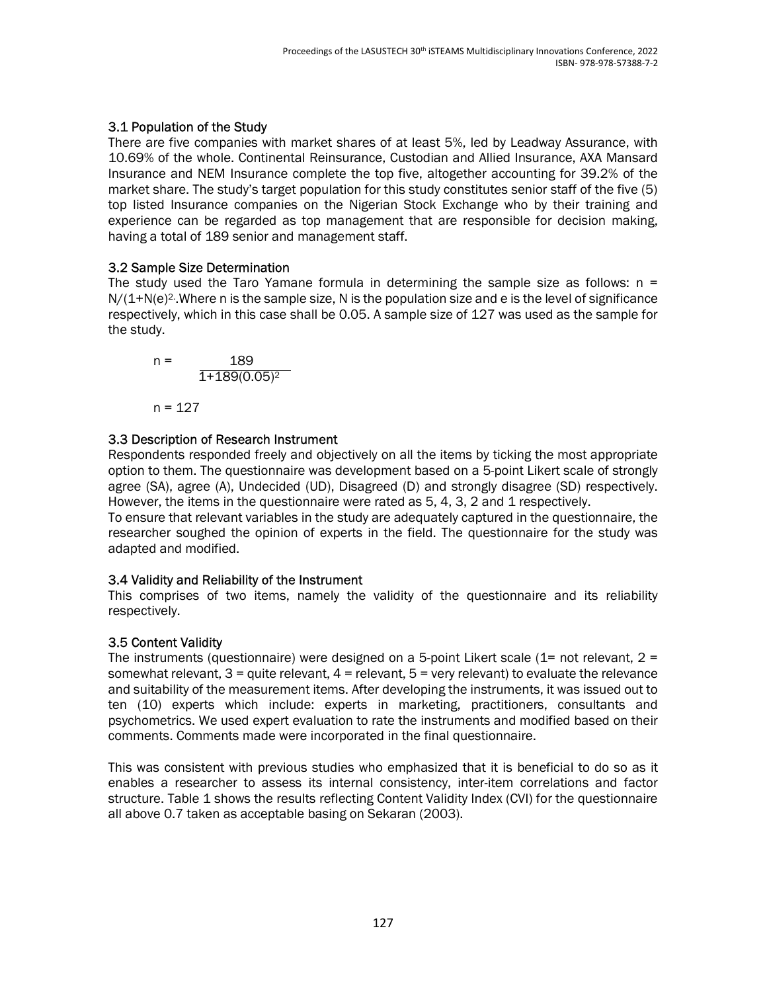# 3.1 Population of the Study

There are five companies with market shares of at least 5%, led by Leadway Assurance, with 10.69% of the whole. Continental Reinsurance, Custodian and Allied Insurance, AXA Mansard Insurance and NEM Insurance complete the top five, altogether accounting for 39.2% of the market share. The study's target population for this study constitutes senior staff of the five (5) top listed Insurance companies on the Nigerian Stock Exchange who by their training and experience can be regarded as top management that are responsible for decision making, having a total of 189 senior and management staff.

# 3.2 Sample Size Determination

The study used the Taro Yamane formula in determining the sample size as follows:  $n =$  $N/(1+N(e)^2)$ . Where n is the sample size, N is the population size and e is the level of significance respectively, which in this case shall be 0.05. A sample size of 127 was used as the sample for the study.

n = 
$$
\frac{189}{1+189(0.05)^2}
$$
  
n = 127

# 3.3 Description of Research Instrument

Respondents responded freely and objectively on all the items by ticking the most appropriate option to them. The questionnaire was development based on a 5-point Likert scale of strongly agree (SA), agree (A), Undecided (UD), Disagreed (D) and strongly disagree (SD) respectively. However, the items in the questionnaire were rated as 5, 4, 3, 2 and 1 respectively.

To ensure that relevant variables in the study are adequately captured in the questionnaire, the researcher soughed the opinion of experts in the field. The questionnaire for the study was adapted and modified.

### 3.4 Validity and Reliability of the Instrument

This comprises of two items, namely the validity of the questionnaire and its reliability respectively.

# 3.5 Content Validity

The instruments (questionnaire) were designed on a 5-point Likert scale  $(1=$  not relevant,  $2=$ somewhat relevant,  $3 =$  quite relevant,  $4 =$  relevant,  $5 =$  very relevant) to evaluate the relevance and suitability of the measurement items. After developing the instruments, it was issued out to ten (10) experts which include: experts in marketing, practitioners, consultants and psychometrics. We used expert evaluation to rate the instruments and modified based on their comments. Comments made were incorporated in the final questionnaire.

This was consistent with previous studies who emphasized that it is beneficial to do so as it enables a researcher to assess its internal consistency, inter-item correlations and factor structure. Table 1 shows the results reflecting Content Validity Index (CVI) for the questionnaire all above 0.7 taken as acceptable basing on Sekaran (2003).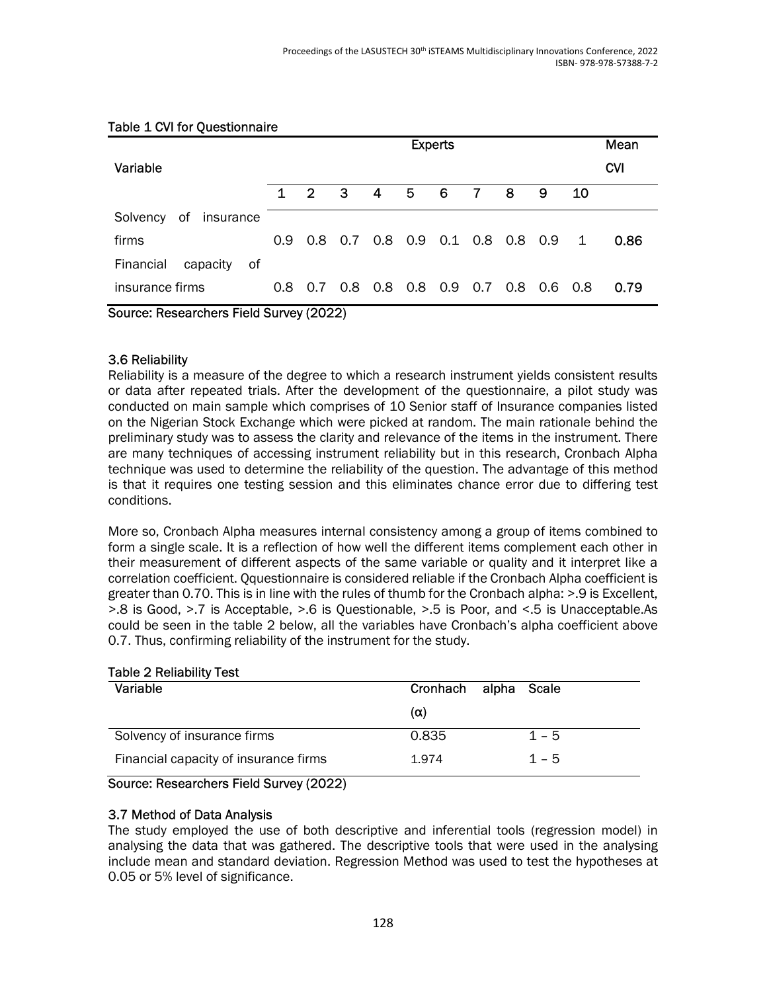|                             | <b>Experts</b>                          |                |                |   |   |                             | Mean |     |     |              |            |
|-----------------------------|-----------------------------------------|----------------|----------------|---|---|-----------------------------|------|-----|-----|--------------|------------|
| Variable                    |                                         |                |                |   |   |                             |      |     |     |              | <b>CVI</b> |
|                             | $\mathbf 1$                             | $\overline{2}$ | 3              | 4 | 5 | 6                           | 7    | 8   | 9   | 10           |            |
| of<br>Solvency<br>insurance |                                         |                |                |   |   |                             |      |     |     |              |            |
| firms                       | 0.9                                     |                |                |   |   | 0.8 0.7 0.8 0.9 0.1 0.8 0.8 |      |     | 0.9 | $\mathbf{1}$ | 0.86       |
| Financial<br>capacity<br>0f |                                         |                |                |   |   |                             |      |     |     |              |            |
| insurance firms             | 0.8                                     |                | $0.7\quad 0.8$ |   |   | 0.8 0.8 0.9 0.7             |      | 0.8 | 0.6 | - 0.8        | 0.79       |
|                             | Source: Researchers Field Survey (2022) |                |                |   |   |                             |      |     |     |              |            |

### Table 1 CVI for Questionnaire

### 3.6 Reliability

Reliability is a measure of the degree to which a research instrument yields consistent results or data after repeated trials. After the development of the questionnaire, a pilot study was conducted on main sample which comprises of 10 Senior staff of Insurance companies listed on the Nigerian Stock Exchange which were picked at random. The main rationale behind the preliminary study was to assess the clarity and relevance of the items in the instrument. There are many techniques of accessing instrument reliability but in this research, Cronbach Alpha technique was used to determine the reliability of the question. The advantage of this method is that it requires one testing session and this eliminates chance error due to differing test conditions.

More so, Cronbach Alpha measures internal consistency among a group of items combined to form a single scale. It is a reflection of how well the different items complement each other in their measurement of different aspects of the same variable or quality and it interpret like a correlation coefficient. Qquestionnaire is considered reliable if the Cronbach Alpha coefficient is greater than 0.70. This is in line with the rules of thumb for the Cronbach alpha: >.9 is Excellent, >.8 is Good, >.7 is Acceptable, >.6 is Questionable, >.5 is Poor, and <.5 is Unacceptable.As could be seen in the table 2 below, all the variables have Cronbach's alpha coefficient above 0.7. Thus, confirming reliability of the instrument for the study.

#### Table 2 Reliability Test

| Variable                              | Cronhach alpha Scale |         |
|---------------------------------------|----------------------|---------|
|                                       | $(\alpha)$           |         |
| Solvency of insurance firms           | 0.835                | $1 - 5$ |
| Financial capacity of insurance firms | 1.974                | $1 - 5$ |

#### Source: Researchers Field Survey (2022)

#### 3.7 Method of Data Analysis

The study employed the use of both descriptive and inferential tools (regression model) in analysing the data that was gathered. The descriptive tools that were used in the analysing include mean and standard deviation. Regression Method was used to test the hypotheses at 0.05 or 5% level of significance.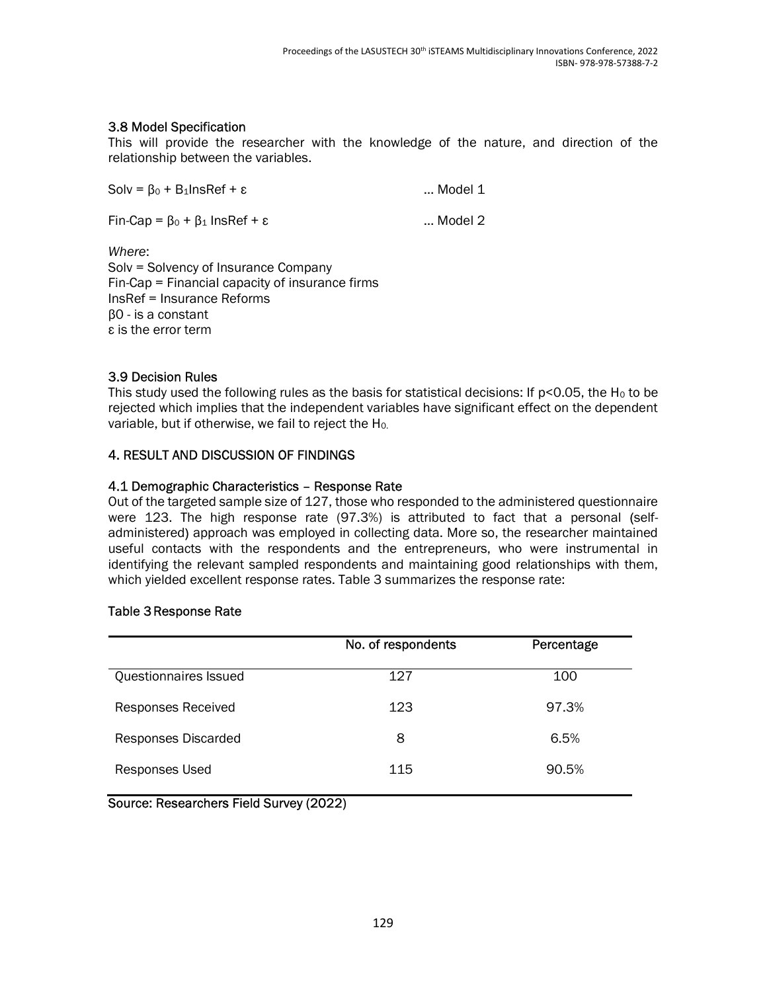# 3.8 Model Specification

This will provide the researcher with the knowledge of the nature, and direction of the relationship between the variables.

| $Solv = \beta_0 + B_1InSRef + \varepsilon$           | Model 1 |
|------------------------------------------------------|---------|
| $Fin-Cap = \beta_0 + \beta_1$ InsRef + $\varepsilon$ | Model 2 |
| .                                                    |         |

Where: Solv = Solvency of Insurance Company Fin-Cap = Financial capacity of insurance firms InsRef = Insurance Reforms β0 - is a constant ε is the error term

# 3.9 Decision Rules

This study used the following rules as the basis for statistical decisions: If  $p$ <0.05, the H<sub>0</sub> to be rejected which implies that the independent variables have significant effect on the dependent variable, but if otherwise, we fail to reject the H0.

# 4. RESULT AND DISCUSSION OF FINDINGS

# 4.1 Demographic Characteristics – Response Rate

Out of the targeted sample size of 127, those who responded to the administered questionnaire were 123. The high response rate (97.3%) is attributed to fact that a personal (selfadministered) approach was employed in collecting data. More so, the researcher maintained useful contacts with the respondents and the entrepreneurs, who were instrumental in identifying the relevant sampled respondents and maintaining good relationships with them, which yielded excellent response rates. Table 3 summarizes the response rate:

### Table 3 Response Rate

|                           | No. of respondents | Percentage |
|---------------------------|--------------------|------------|
| Questionnaires Issued     | 127                | 100        |
| <b>Responses Received</b> | 123                | 97.3%      |
| Responses Discarded       | 8                  | 6.5%       |
| Responses Used            | 115                | 90.5%      |

Source: Researchers Field Survey (2022)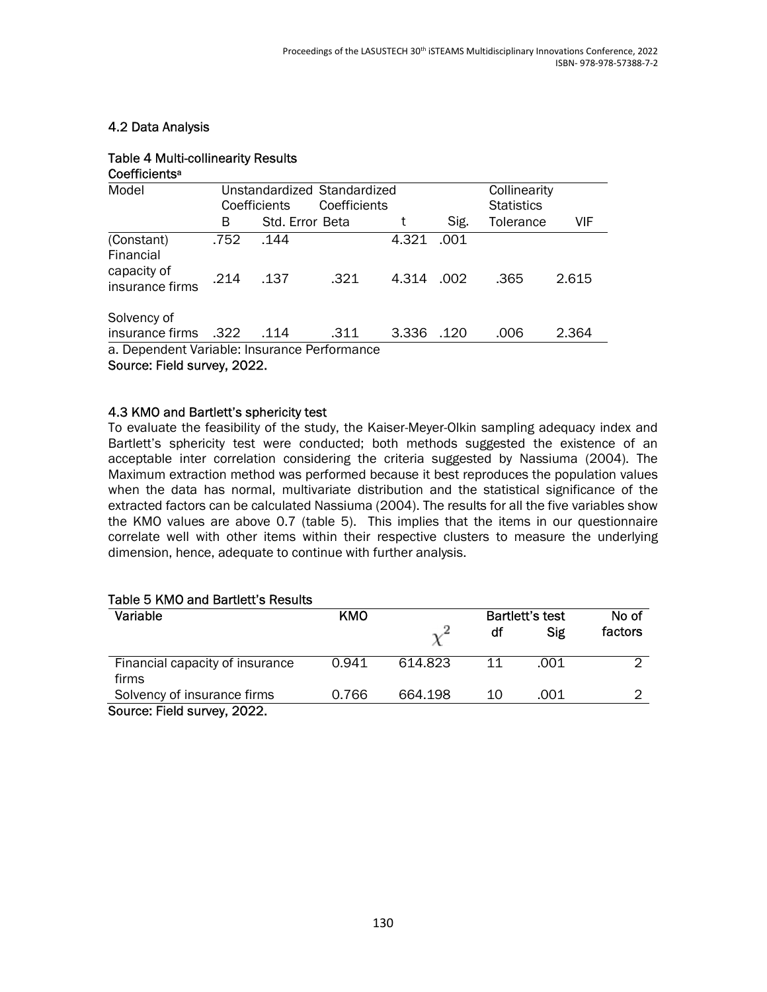### 4.2 Data Analysis

#### Table 4 Multi-collinearity Results Coefficients<sup>a</sup>

| Model                                        | Unstandardized Standardized |                 |              |       |      |                   | Collinearity |  |  |
|----------------------------------------------|-----------------------------|-----------------|--------------|-------|------|-------------------|--------------|--|--|
|                                              |                             | Coefficients    | Coefficients |       |      | <b>Statistics</b> |              |  |  |
|                                              | В                           | Std. Error Beta |              |       | Sig. | Tolerance         | VIF          |  |  |
| (Constant)<br>Financial                      | .752                        | .144            |              | 4.321 | .001 |                   |              |  |  |
| capacity of<br>insurance firms               | .214                        | .137            | .321         | 4.314 | .002 | .365              | 2.615        |  |  |
| Solvency of                                  |                             |                 |              |       |      |                   |              |  |  |
| insurance firms                              | .322                        | .114            | .311         | 3.336 | .120 | .006              | 2.364        |  |  |
| a. Dependent Variable: Insurance Performance |                             |                 |              |       |      |                   |              |  |  |
| 0.0000                                       |                             |                 |              |       |      |                   |              |  |  |

Source: Field survey, 2022.

### 4.3 KMO and Bartlett's sphericity test

To evaluate the feasibility of the study, the Kaiser-Meyer-Olkin sampling adequacy index and Bartlett's sphericity test were conducted; both methods suggested the existence of an acceptable inter correlation considering the criteria suggested by Nassiuma (2004). The Maximum extraction method was performed because it best reproduces the population values when the data has normal, multivariate distribution and the statistical significance of the extracted factors can be calculated Nassiuma (2004). The results for all the five variables show the KMO values are above 0.7 (table 5). This implies that the items in our questionnaire correlate well with other items within their respective clusters to measure the underlying dimension, hence, adequate to continue with further analysis.

#### Table 5 KMO and Bartlett's Results

| Variable                                 | KMO   |         | Bartlett's test |            |         |
|------------------------------------------|-------|---------|-----------------|------------|---------|
|                                          |       |         | df              | <b>Sig</b> | factors |
| Financial capacity of insurance<br>firms | 0.941 | 614.823 | 11              | .001       | ◠       |
| Solvency of insurance firms              | 0.766 | 664.198 | 10              | .001       |         |
| Source: Field survey, 2022.              |       |         |                 |            |         |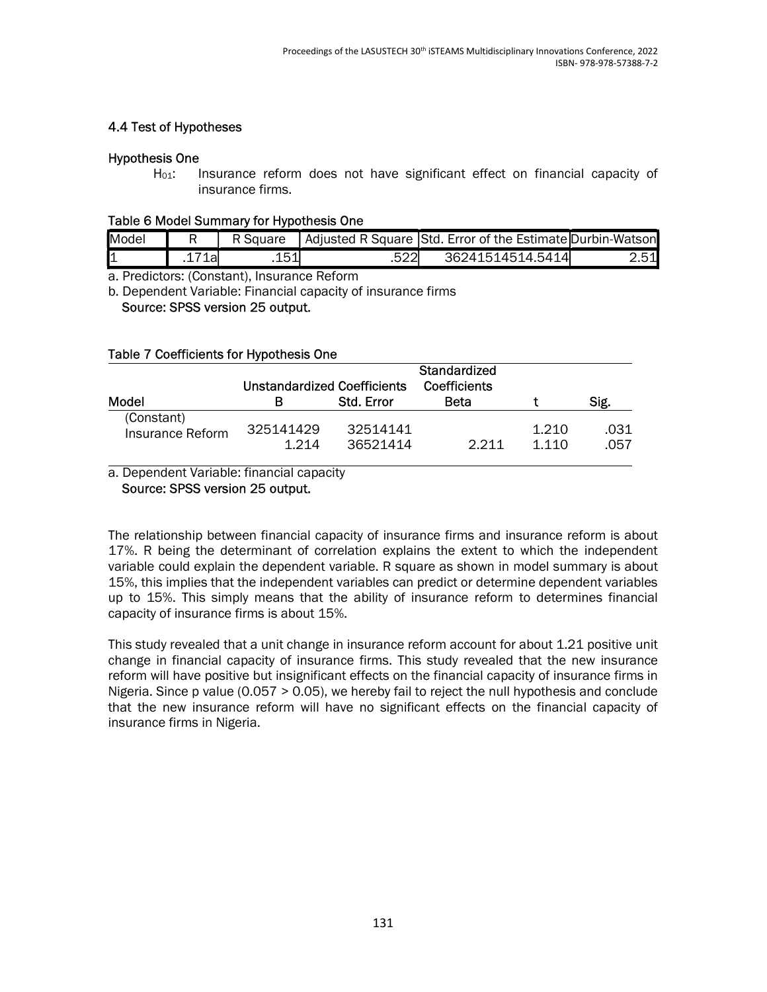### 4.4 Test of Hypotheses

### Hypothesis One

H<sub>01</sub>: Insurance reform does not have significant effect on financial capacity of insurance firms.

#### Table 6 Model Summary for Hypothesis One

| Model |      | ' Square | Adjusted R Square Std. Error of the Estimate Durbin-Watson |               |
|-------|------|----------|------------------------------------------------------------|---------------|
| 11    | *1ar | 1 1 1    | 36241514514.5414                                           | 2.51 <b>l</b> |

a. Predictors: (Constant), Insurance Reform

b. Dependent Variable: Financial capacity of insurance firms

#### Source: SPSS version 25 output.

### Table 7 Coefficients for Hypothesis One

|                                | <b>Unstandardized Coefficients</b> |                      |             |                  |              |
|--------------------------------|------------------------------------|----------------------|-------------|------------------|--------------|
| Model                          |                                    | Std. Error           | <b>Beta</b> |                  | Sig.         |
| (Constant)<br>Insurance Reform | 325141429<br>1214                  | 32514141<br>36521414 | $2,211$     | 1.210<br>1 1 1 0 | .031<br>.057 |

a. Dependent Variable: financial capacity

Source: SPSS version 25 output.

The relationship between financial capacity of insurance firms and insurance reform is about 17%. R being the determinant of correlation explains the extent to which the independent variable could explain the dependent variable. R square as shown in model summary is about 15%, this implies that the independent variables can predict or determine dependent variables up to 15%. This simply means that the ability of insurance reform to determines financial capacity of insurance firms is about 15%.

This study revealed that a unit change in insurance reform account for about 1.21 positive unit change in financial capacity of insurance firms. This study revealed that the new insurance reform will have positive but insignificant effects on the financial capacity of insurance firms in Nigeria. Since p value (0.057 > 0.05), we hereby fail to reject the null hypothesis and conclude that the new insurance reform will have no significant effects on the financial capacity of insurance firms in Nigeria.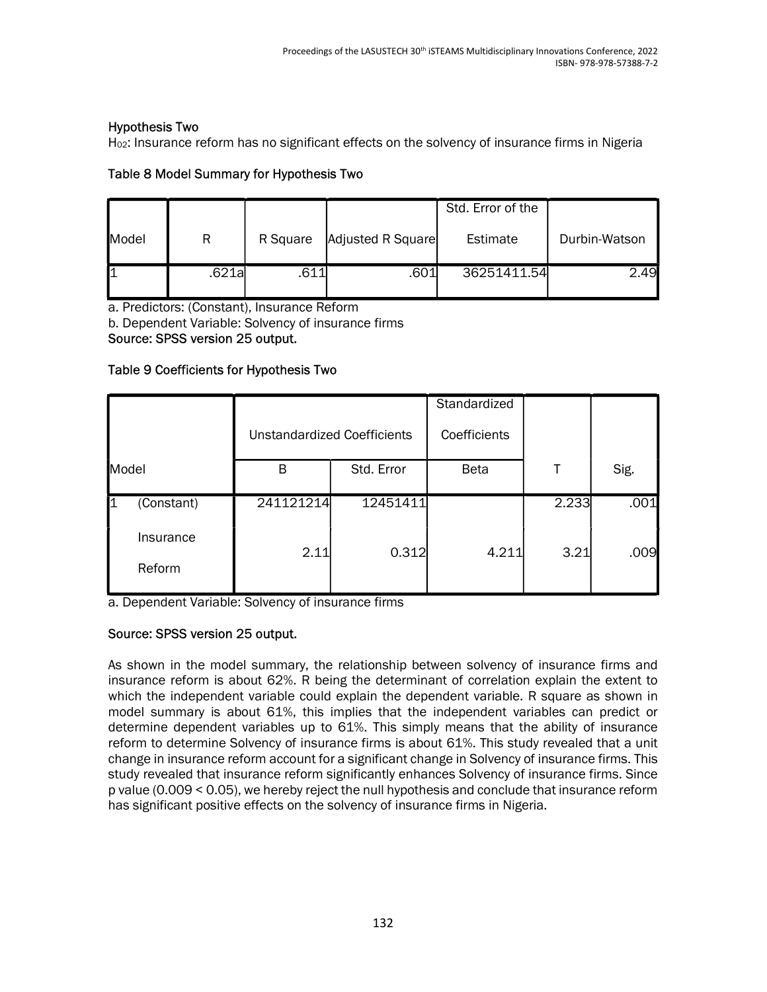### Hypothesis Two

H02: Insurance reform has no significant effects on the solvency of insurance firms in Nigeria

# Table 8 Model Summary for Hypothesis Two

|       |        |          |                   | Std. Error of the |               |
|-------|--------|----------|-------------------|-------------------|---------------|
| Model | R      | R Square | Adjusted R Square | Estimate          | Durbin-Watson |
|       | .621al | .611     | .601'             | 36251411.54       | 2.49          |

a. Predictors: (Constant), Insurance Reform

b. Dependent Variable: Solvency of insurance firms

Source: SPSS version 25 output.

### Table 9 Coefficients for Hypothesis Two

|                     |                                    |            | Standardized |       |      |
|---------------------|------------------------------------|------------|--------------|-------|------|
|                     | <b>Unstandardized Coefficients</b> |            | Coefficients |       |      |
| Model               | B                                  | Std. Error | <b>Beta</b>  |       | Sig. |
| (Constant)          | 241121214                          | 12451411   |              | 2.233 | .001 |
| Insurance<br>Reform | 2.11                               | 0.312      | 4.211        | 3.21  | .009 |

a. Dependent Variable: Solvency of insurance firms

# Source: SPSS version 25 output.

As shown in the model summary, the relationship between solvency of insurance firms and insurance reform is about 62%. R being the determinant of correlation explain the extent to which the independent variable could explain the dependent variable. R square as shown in model summary is about 61%, this implies that the independent variables can predict or determine dependent variables up to 61%. This simply means that the ability of insurance reform to determine Solvency of insurance firms is about 61%. This study revealed that a unit change in insurance reform account for a significant change in Solvency of insurance firms. This study revealed that insurance reform significantly enhances Solvency of insurance firms. Since p value (0.009 < 0.05), we hereby reject the null hypothesis and conclude that insurance reform has significant positive effects on the solvency of insurance firms in Nigeria.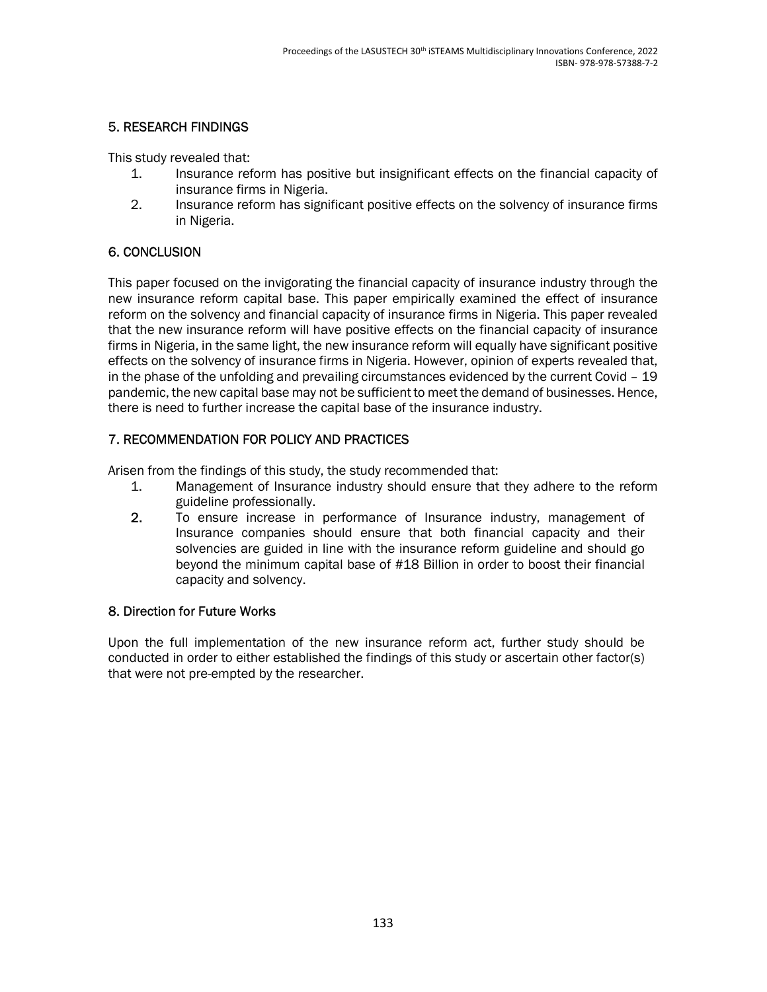# 5. RESEARCH FINDINGS

This study revealed that:

- 1. Insurance reform has positive but insignificant effects on the financial capacity of insurance firms in Nigeria.
- 2. Insurance reform has significant positive effects on the solvency of insurance firms in Nigeria.

# 6. CONCLUSION

This paper focused on the invigorating the financial capacity of insurance industry through the new insurance reform capital base. This paper empirically examined the effect of insurance reform on the solvency and financial capacity of insurance firms in Nigeria. This paper revealed that the new insurance reform will have positive effects on the financial capacity of insurance firms in Nigeria, in the same light, the new insurance reform will equally have significant positive effects on the solvency of insurance firms in Nigeria. However, opinion of experts revealed that, in the phase of the unfolding and prevailing circumstances evidenced by the current Covid – 19 pandemic, the new capital base may not be sufficient to meet the demand of businesses. Hence, there is need to further increase the capital base of the insurance industry.

# 7. RECOMMENDATION FOR POLICY AND PRACTICES

Arisen from the findings of this study, the study recommended that:

- 1. Management of Insurance industry should ensure that they adhere to the reform guideline professionally.
- 2. To ensure increase in performance of Insurance industry, management of Insurance companies should ensure that both financial capacity and their solvencies are guided in line with the insurance reform guideline and should go beyond the minimum capital base of #18 Billion in order to boost their financial capacity and solvency.

### 8. Direction for Future Works

Upon the full implementation of the new insurance reform act, further study should be conducted in order to either established the findings of this study or ascertain other factor(s) that were not pre-empted by the researcher.